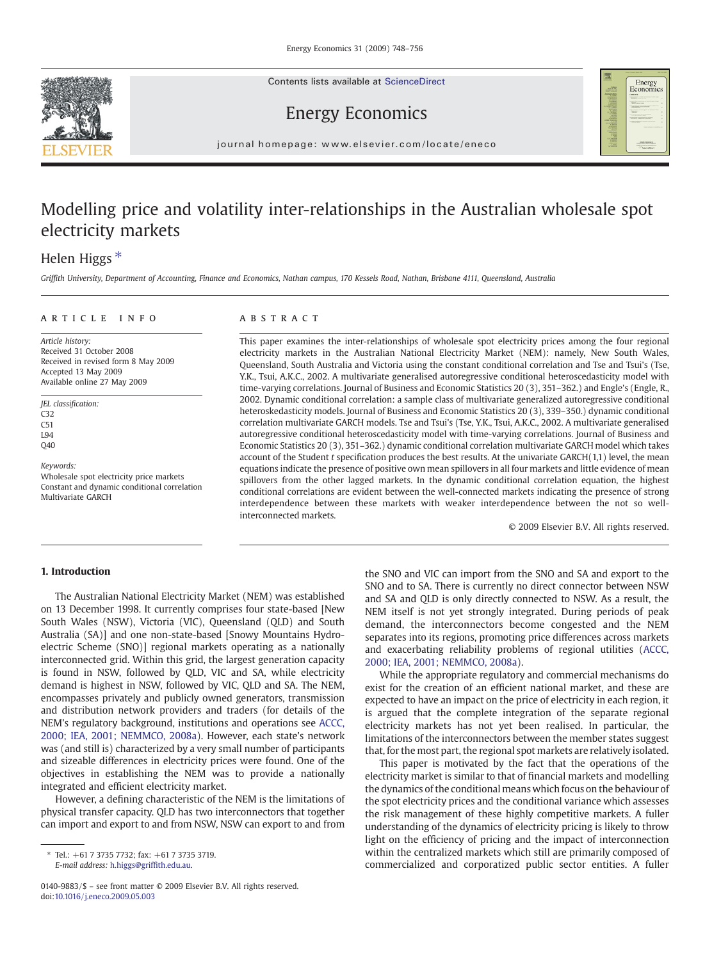Contents lists available at ScienceDirect





Energy Economics

 $j$  or extended the p and  $i$  events of  $i$  and  $i$  extended the  $i$ 

## Modelling price and volatility inter-relationships in the Australian wholesale spot electricity markets

### Helen Higgs<sup>\*</sup>

Griffith University, Department of Accounting, Finance and Economics, Nathan campus, 170 Kessels Road, Nathan, Brisbane 4111, Queensland, Australia

#### article info abstract

Article history: Received 31 October 2008 Received in revised form 8 May 2009 Accepted 13 May 2009 Available online 27 May 2009

JEL classification: C32 C51 L94 Q40

Keywords: Wholesale spot electricity price markets Constant and dynamic conditional correlation Multivariate GARCH

This paper examines the inter-relationships of wholesale spot electricity prices among the four regional electricity markets in the Australian National Electricity Market (NEM): namely, New South Wales, Queensland, South Australia and Victoria using the constant conditional correlation and Tse and Tsui's (Tse, Y.K., Tsui, A.K.C., 2002. A multivariate generalised autoregressive conditional heteroscedasticity model with time-varying correlations. Journal of Business and Economic Statistics 20 (3), 351–362.) and Engle's (Engle, R., 2002. Dynamic conditional correlation: a sample class of multivariate generalized autoregressive conditional heteroskedasticity models. Journal of Business and Economic Statistics 20 (3), 339–350.) dynamic conditional correlation multivariate GARCH models. Tse and Tsui's (Tse, Y.K., Tsui, A.K.C., 2002. A multivariate generalised autoregressive conditional heteroscedasticity model with time-varying correlations. Journal of Business and Economic Statistics 20 (3), 351–362.) dynamic conditional correlation multivariate GARCH model which takes account of the Student t specification produces the best results. At the univariate GARCH(1,1) level, the mean equations indicate the presence of positive own mean spillovers in all four markets and little evidence of mean spillovers from the other lagged markets. In the dynamic conditional correlation equation, the highest conditional correlations are evident between the well-connected markets indicating the presence of strong interdependence between these markets with weaker interdependence between the not so wellinterconnected markets.

© 2009 Elsevier B.V. All rights reserved.

### 1. Introduction

The Australian National Electricity Market (NEM) was established on 13 December 1998. It currently comprises four state-based [New South Wales (NSW), Victoria (VIC), Queensland (QLD) and South Australia (SA)] and one non-state-based [Snowy Mountains Hydroelectric Scheme (SNO)] regional markets operating as a nationally interconnected grid. Within this grid, the largest generation capacity is found in NSW, followed by QLD, VIC and SA, while electricity demand is highest in NSW, followed by VIC, QLD and SA. The NEM, encompasses privately and publicly owned generators, transmission and distribution network providers and traders (for details of the NEM's regulatory background, institutions and operations see [ACCC,](#page--1-0) [2000; IEA, 2001; NEMMCO, 2008a\)](#page--1-0). However, each state's network was (and still is) characterized by a very small number of participants and sizeable differences in electricity prices were found. One of the objectives in establishing the NEM was to provide a nationally integrated and efficient electricity market.

However, a defining characteristic of the NEM is the limitations of physical transfer capacity. QLD has two interconnectors that together can import and export to and from NSW, NSW can export to and from

the SNO and VIC can import from the SNO and SA and export to the SNO and to SA. There is currently no direct connector between NSW and SA and QLD is only directly connected to NSW. As a result, the NEM itself is not yet strongly integrated. During periods of peak demand, the interconnectors become congested and the NEM separates into its regions, promoting price differences across markets and exacerbating reliability problems of regional utilities ([ACCC,](#page--1-0) [2000; IEA, 2001; NEMMCO, 2008a](#page--1-0)).

While the appropriate regulatory and commercial mechanisms do exist for the creation of an efficient national market, and these are expected to have an impact on the price of electricity in each region, it is argued that the complete integration of the separate regional electricity markets has not yet been realised. In particular, the limitations of the interconnectors between the member states suggest that, for the most part, the regional spot markets are relatively isolated.

This paper is motivated by the fact that the operations of the electricity market is similar to that of financial markets and modelling the dynamics of the conditional means which focus on the behaviour of the spot electricity prices and the conditional variance which assesses the risk management of these highly competitive markets. A fuller understanding of the dynamics of electricity pricing is likely to throw light on the efficiency of pricing and the impact of interconnection within the centralized markets which still are primarily composed of commercialized and corporatized public sector entities. A fuller

<sup>⁎</sup> Tel.: +61 7 3735 7732; fax: +61 7 3735 3719. E-mail address: [h.higgs@grif](mailto:h.higgs@griffith.edu.au)fith.edu.au.

<sup>0140-9883/\$</sup> – see front matter © 2009 Elsevier B.V. All rights reserved. doi[:10.1016/j.eneco.2009.05.003](http://dx.doi.org/10.1016/j.eneco.2009.05.003)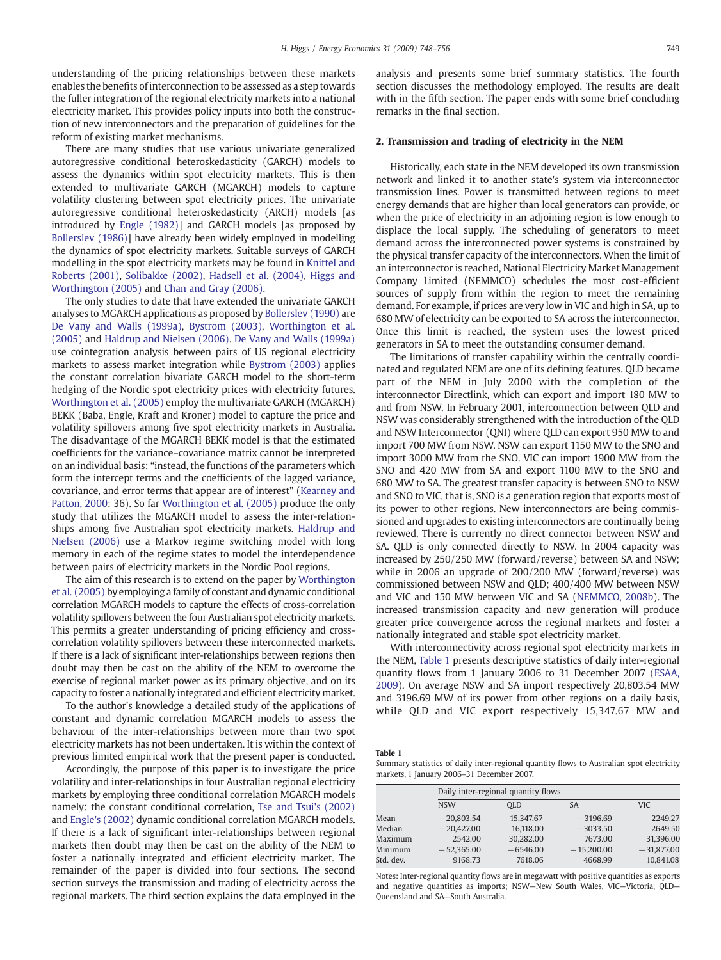understanding of the pricing relationships between these markets enables the benefits of interconnection to be assessed as a step towards the fuller integration of the regional electricity markets into a national electricity market. This provides policy inputs into both the construction of new interconnectors and the preparation of guidelines for the reform of existing market mechanisms.

There are many studies that use various univariate generalized autoregressive conditional heteroskedasticity (GARCH) models to assess the dynamics within spot electricity markets. This is then extended to multivariate GARCH (MGARCH) models to capture volatility clustering between spot electricity prices. The univariate autoregressive conditional heteroskedasticity (ARCH) models [as introduced by [Engle \(1982\)\]](#page--1-0) and GARCH models [as proposed by [Bollerslev \(1986\)\]](#page--1-0) have already been widely employed in modelling the dynamics of spot electricity markets. Suitable surveys of GARCH modelling in the spot electricity markets may be found in [Knittel and](#page--1-0) [Roberts \(2001\),](#page--1-0) [Solibakke \(2002\),](#page--1-0) [Hadsell et al. \(2004\),](#page--1-0) [Higgs and](#page--1-0) [Worthington \(2005\)](#page--1-0) and [Chan and Gray \(2006\)](#page--1-0).

The only studies to date that have extended the univariate GARCH analyses to MGARCH applications as proposed by [Bollerslev \(1990\)](#page--1-0) are [De Vany and Walls \(1999a\)](#page--1-0), [Bystrom \(2003\),](#page--1-0) [Worthington et al.](#page--1-0) [\(2005\)](#page--1-0) and [Haldrup and Nielsen \(2006\)](#page--1-0). [De Vany and Walls \(1999a\)](#page--1-0) use cointegration analysis between pairs of US regional electricity markets to assess market integration while [Bystrom \(2003\)](#page--1-0) applies the constant correlation bivariate GARCH model to the short-term hedging of the Nordic spot electricity prices with electricity futures. [Worthington et al. \(2005\)](#page--1-0) employ the multivariate GARCH (MGARCH) BEKK (Baba, Engle, Kraft and Kroner) model to capture the price and volatility spillovers among five spot electricity markets in Australia. The disadvantage of the MGARCH BEKK model is that the estimated coefficients for the variance–covariance matrix cannot be interpreted on an individual basis: "instead, the functions of the parameters which form the intercept terms and the coefficients of the lagged variance, covariance, and error terms that appear are of interest" [\(Kearney and](#page--1-0) [Patton, 2000:](#page--1-0) 36). So far [Worthington et al. \(2005\)](#page--1-0) produce the only study that utilizes the MGARCH model to assess the inter-relationships among five Australian spot electricity markets. [Haldrup and](#page--1-0) [Nielsen \(2006\)](#page--1-0) use a Markov regime switching model with long memory in each of the regime states to model the interdependence between pairs of electricity markets in the Nordic Pool regions.

The aim of this research is to extend on the paper by [Worthington](#page--1-0) [et al. \(2005\)](#page--1-0) by employing a family of constant and dynamic conditional correlation MGARCH models to capture the effects of cross-correlation volatility spillovers between the four Australian spot electricity markets. This permits a greater understanding of pricing efficiency and crosscorrelation volatility spillovers between these interconnected markets. If there is a lack of significant inter-relationships between regions then doubt may then be cast on the ability of the NEM to overcome the exercise of regional market power as its primary objective, and on its capacity to foster a nationally integrated and efficient electricity market.

To the author's knowledge a detailed study of the applications of constant and dynamic correlation MGARCH models to assess the behaviour of the inter-relationships between more than two spot electricity markets has not been undertaken. It is within the context of previous limited empirical work that the present paper is conducted.

Accordingly, the purpose of this paper is to investigate the price volatility and inter-relationships in four Australian regional electricity markets by employing three conditional correlation MGARCH models namely: the constant conditional correlation, [Tse and Tsui's \(2002\)](#page--1-0) and [Engle's \(2002\)](#page--1-0) dynamic conditional correlation MGARCH models. If there is a lack of significant inter-relationships between regional markets then doubt may then be cast on the ability of the NEM to foster a nationally integrated and efficient electricity market. The remainder of the paper is divided into four sections. The second section surveys the transmission and trading of electricity across the regional markets. The third section explains the data employed in the analysis and presents some brief summary statistics. The fourth section discusses the methodology employed. The results are dealt with in the fifth section. The paper ends with some brief concluding remarks in the final section.

#### 2. Transmission and trading of electricity in the NEM

Historically, each state in the NEM developed its own transmission network and linked it to another state's system via interconnector transmission lines. Power is transmitted between regions to meet energy demands that are higher than local generators can provide, or when the price of electricity in an adjoining region is low enough to displace the local supply. The scheduling of generators to meet demand across the interconnected power systems is constrained by the physical transfer capacity of the interconnectors. When the limit of an interconnector is reached, National Electricity Market Management Company Limited (NEMMCO) schedules the most cost-efficient sources of supply from within the region to meet the remaining demand. For example, if prices are very low in VIC and high in SA, up to 680 MW of electricity can be exported to SA across the interconnector. Once this limit is reached, the system uses the lowest priced generators in SA to meet the outstanding consumer demand.

The limitations of transfer capability within the centrally coordinated and regulated NEM are one of its defining features. QLD became part of the NEM in July 2000 with the completion of the interconnector Directlink, which can export and import 180 MW to and from NSW. In February 2001, interconnection between QLD and NSW was considerably strengthened with the introduction of the QLD and NSW Interconnector (QNI) where QLD can export 950 MW to and import 700 MW from NSW. NSW can export 1150 MW to the SNO and import 3000 MW from the SNO. VIC can import 1900 MW from the SNO and 420 MW from SA and export 1100 MW to the SNO and 680 MW to SA. The greatest transfer capacity is between SNO to NSW and SNO to VIC, that is, SNO is a generation region that exports most of its power to other regions. New interconnectors are being commissioned and upgrades to existing interconnectors are continually being reviewed. There is currently no direct connector between NSW and SA. QLD is only connected directly to NSW. In 2004 capacity was increased by 250/250 MW (forward/reverse) between SA and NSW; while in 2006 an upgrade of 200/200 MW (forward/reverse) was commissioned between NSW and QLD; 400/400 MW between NSW and VIC and 150 MW between VIC and SA ([NEMMCO, 2008b\)](#page--1-0). The increased transmission capacity and new generation will produce greater price convergence across the regional markets and foster a nationally integrated and stable spot electricity market.

With interconnectivity across regional spot electricity markets in the NEM, Table 1 presents descriptive statistics of daily inter-regional quantity flows from 1 January 2006 to 31 December 2007 ([ESAA,](#page--1-0) [2009\)](#page--1-0). On average NSW and SA import respectively 20,803.54 MW and 3196.69 MW of its power from other regions on a daily basis, while QLD and VIC export respectively 15,347.67 MW and

#### Table 1

Summary statistics of daily inter-regional quantity flows to Australian spot electricity markets, 1 January 2006–31 December 2007.

|           | Daily inter-regional quantity flows |            |              |              |
|-----------|-------------------------------------|------------|--------------|--------------|
|           | <b>NSW</b>                          | <b>OLD</b> | <b>SA</b>    | <b>VIC</b>   |
| Mean      | $-20.803.54$                        | 15.347.67  | $-3196.69$   | 2249.27      |
| Median    | $-20.427.00$                        | 16.118.00  | $-3033.50$   | 2649.50      |
| Maximum   | 2542.00                             | 30.282.00  | 7673.00      | 31.396.00    |
| Minimum   | $-52.365.00$                        | $-6546.00$ | $-15.200.00$ | $-31,877,00$ |
| Std. dev. | 9168.73                             | 7618.06    | 4668.99      | 10.841.08    |

Notes: Inter-regional quantity flows are in megawatt with positive quantities as exports and negative quantities as imports; NSW—New South Wales, VIC—Victoria, QLD— Queensland and SA—South Australia.